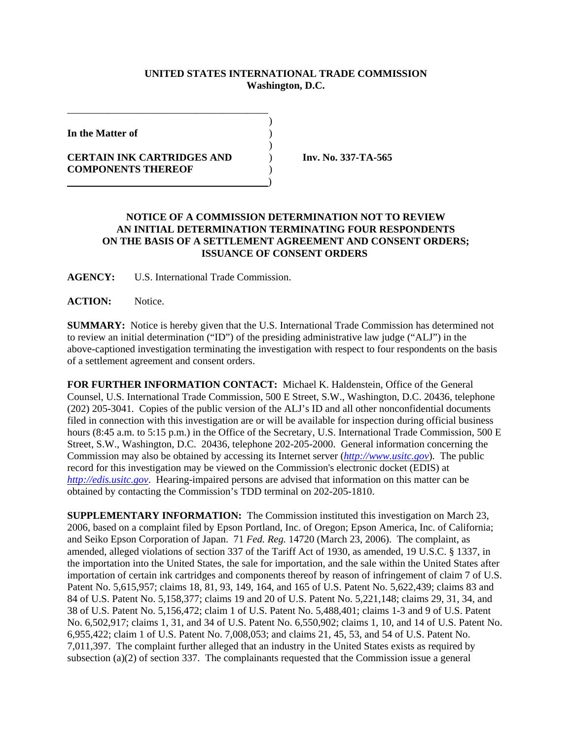## **UNITED STATES INTERNATIONAL TRADE COMMISSION Washington, D.C.**

)

)

**In the Matter of** )

**CERTAIN INK CARTRIDGES AND** ) **Inv. No. 337-TA-565 COMPONENTS THEREOF** )

\_\_\_\_\_\_\_\_\_\_\_\_\_\_\_\_\_\_\_\_\_\_\_\_\_\_\_\_\_\_\_\_\_\_\_\_\_\_\_

)

## **NOTICE OF A COMMISSION DETERMINATION NOT TO REVIEW AN INITIAL DETERMINATION TERMINATING FOUR RESPONDENTS ON THE BASIS OF A SETTLEMENT AGREEMENT AND CONSENT ORDERS; ISSUANCE OF CONSENT ORDERS**

**AGENCY:** U.S. International Trade Commission.

**ACTION:** Notice.

**SUMMARY:** Notice is hereby given that the U.S. International Trade Commission has determined not to review an initial determination ("ID") of the presiding administrative law judge ("ALJ") in the above-captioned investigation terminating the investigation with respect to four respondents on the basis of a settlement agreement and consent orders.

**FOR FURTHER INFORMATION CONTACT:** Michael K. Haldenstein, Office of the General Counsel, U.S. International Trade Commission, 500 E Street, S.W., Washington, D.C. 20436, telephone (202) 205-3041. Copies of the public version of the ALJ's ID and all other nonconfidential documents filed in connection with this investigation are or will be available for inspection during official business hours (8:45 a.m. to 5:15 p.m.) in the Office of the Secretary, U.S. International Trade Commission, 500 E Street, S.W., Washington, D.C. 20436, telephone 202-205-2000. General information concerning the Commission may also be obtained by accessing its Internet server (*http://www.usitc.gov*). The public record for this investigation may be viewed on the Commission's electronic docket (EDIS) at *http://edis.usitc.gov*. Hearing-impaired persons are advised that information on this matter can be obtained by contacting the Commission's TDD terminal on 202-205-1810.

**SUPPLEMENTARY INFORMATION:** The Commission instituted this investigation on March 23, 2006, based on a complaint filed by Epson Portland, Inc. of Oregon; Epson America, Inc. of California; and Seiko Epson Corporation of Japan. 71 *Fed. Reg.* 14720 (March 23, 2006). The complaint, as amended, alleged violations of section 337 of the Tariff Act of 1930, as amended, 19 U.S.C. § 1337, in the importation into the United States, the sale for importation, and the sale within the United States after importation of certain ink cartridges and components thereof by reason of infringement of claim 7 of U.S. Patent No. 5,615,957; claims 18, 81, 93, 149, 164, and 165 of U.S. Patent No. 5,622,439; claims 83 and 84 of U.S. Patent No. 5,158,377; claims 19 and 20 of U.S. Patent No. 5,221,148; claims 29, 31, 34, and 38 of U.S. Patent No. 5,156,472; claim 1 of U.S. Patent No. 5,488,401; claims 1-3 and 9 of U.S. Patent No. 6,502,917; claims 1, 31, and 34 of U.S. Patent No. 6,550,902; claims 1, 10, and 14 of U.S. Patent No. 6,955,422; claim 1 of U.S. Patent No. 7,008,053; and claims 21, 45, 53, and 54 of U.S. Patent No. 7,011,397. The complaint further alleged that an industry in the United States exists as required by subsection (a)(2) of section 337. The complainants requested that the Commission issue a general